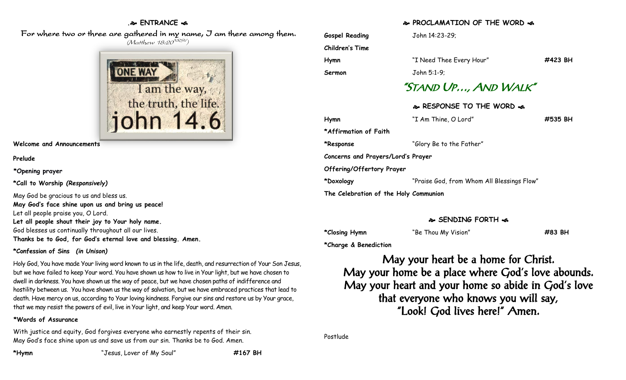## **. ENTRANCE**

 For where two or three are gathered in my name, I am there among them. (Matthew 18:20<sup>NRSV</sup>)



**Welcome and Announcements**

**Prelude**

**\*Opening prayer**

**\*Call to Worship** *(Responsively)*

May God be gracious to us and bless us. **May God's face shine upon us and bring us peace!** Let all people praise you, O Lord. **Let all people shout their joy to Your holy name.** God blesses us continually throughout all our lives. **Thanks be to God, for God's eternal love and blessing. Amen.**

#### **\*Confession of Sins** *(in Unison)*

Holy God, You have made Your living word known to us in the life, death, and resurrection of Your Son Jesus, but we have failed to keep Your word. You have shown us how to live in Your light, but we have chosen to dwell in darkness. You have shown us the way of peace, but we have chosen paths of indifference and hostility between us. You have shown us the way of salvation, but we have embraced practices that lead to death. Have mercy on us, according to Your loving kindness. Forgive our sins and restore us by Your grace, that we may resist the powers of evil, live in Your light, and keep Your word. Amen.

#### **\*Words of Assurance**

With justice and equity, God forgives everyone who earnestly repents of their sin. May God's face shine upon us and save us from our sin. Thanks be to God. Amen.

**\*Hymn** "Jesus, Lover of My Soul" **#167 BH**

## **PROCLAMATION OF THE WORD**

| <b>Gospel Reading</b>                 | John 14:23-29;                             |         |  |  |  |  |  |  |  |
|---------------------------------------|--------------------------------------------|---------|--|--|--|--|--|--|--|
| Children's Time                       |                                            |         |  |  |  |  |  |  |  |
| Hymn                                  | "I Need Thee Every Hour"                   | #423 BH |  |  |  |  |  |  |  |
| Sermon                                | John 5:1-9;                                |         |  |  |  |  |  |  |  |
| "STAND UP, AND WALK"                  |                                            |         |  |  |  |  |  |  |  |
| & RESPONSE TO THE WORD &              |                                            |         |  |  |  |  |  |  |  |
| Hymn                                  | "I Am Thine, O Lord"                       | #535 BH |  |  |  |  |  |  |  |
| *Affirmation of Faith                 |                                            |         |  |  |  |  |  |  |  |
| *Response                             | "Glory Be to the Father"                   |         |  |  |  |  |  |  |  |
| Concerns and Prayers/Lord's Prayer    |                                            |         |  |  |  |  |  |  |  |
| Offering/Offertory Prayer             |                                            |         |  |  |  |  |  |  |  |
| *Doxology                             | "Praise God, from Whom All Blessings Flow" |         |  |  |  |  |  |  |  |
| The Celebration of the Holy Communion |                                            |         |  |  |  |  |  |  |  |
|                                       |                                            |         |  |  |  |  |  |  |  |

#### **SENDING FORTH**

**\*Closing Hymn** "Be Thou My Vision" **#83 BH**

**\*Charge & Benediction**

May your heart be a home for Christ. May your home be a place where God's love abounds. May your heart and your home so abide in God's love that everyone who knows you will say, "Look! God lives here!" Amen.

Postlude